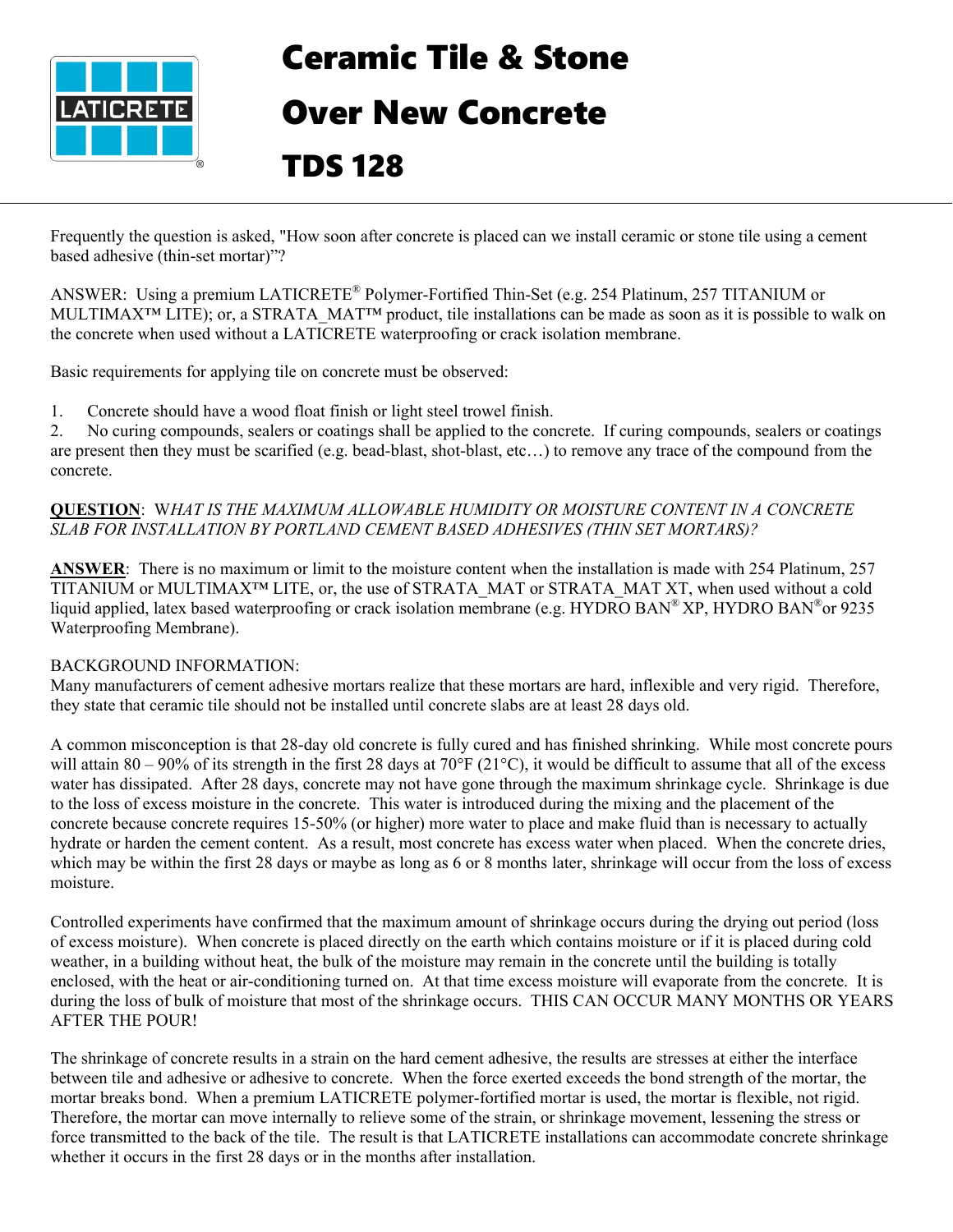

# Ceramic Tile & Stone

## Over New Concrete

### TDS 128

Frequently the question is asked, "How soon after concrete is placed can we install ceramic or stone tile using a cement based adhesive (thin-set mortar)"?

ANSWER: Using a premium LATICRETE® Polymer-Fortified Thin-Set (e.g. 254 Platinum, 257 TITANIUM or MULTIMAX<sup>™</sup> LITE); or, a STRATA\_MAT™ product, tile installations can be made as soon as it is possible to walk on the concrete when used without a LATICRETE waterproofing or crack isolation membrane.

Basic requirements for applying tile on concrete must be observed:

1. Concrete should have a wood float finish or light steel trowel finish.

2. No curing compounds, sealers or coatings shall be applied to the concrete. If curing compounds, sealers or coatings are present then they must be scarified (e.g. bead-blast, shot-blast, etc…) to remove any trace of the compound from the concrete.

#### **QUESTION**: W*HAT IS THE MAXIMUM ALLOWABLE HUMIDITY OR MOISTURE CONTENT IN A CONCRETE SLAB FOR INSTALLATION BY PORTLAND CEMENT BASED ADHESIVES (THIN SET MORTARS)?*

**ANSWER**: There is no maximum or limit to the moisture content when the installation is made with 254 Platinum, 257 TITANIUM or MULTIMAX™ LITE, or, the use of STRATA\_MAT or STRATA\_MAT XT, when used without a cold liquid applied, latex based waterproofing or crack isolation membrane (e.g. HYDRO BAN® XP, HYDRO BAN® or 9235 Waterproofing Membrane).

#### BACKGROUND INFORMATION:

Many manufacturers of cement adhesive mortars realize that these mortars are hard, inflexible and very rigid. Therefore, they state that ceramic tile should not be installed until concrete slabs are at least 28 days old.

A common misconception is that 28-day old concrete is fully cured and has finished shrinking. While most concrete pours will attain 80 – 90% of its strength in the first 28 days at 70 $\degree$ F (21 $\degree$ C), it would be difficult to assume that all of the excess water has dissipated. After 28 days, concrete may not have gone through the maximum shrinkage cycle. Shrinkage is due to the loss of excess moisture in the concrete. This water is introduced during the mixing and the placement of the concrete because concrete requires 15-50% (or higher) more water to place and make fluid than is necessary to actually hydrate or harden the cement content. As a result, most concrete has excess water when placed. When the concrete dries, which may be within the first 28 days or maybe as long as 6 or 8 months later, shrinkage will occur from the loss of excess moisture.

Controlled experiments have confirmed that the maximum amount of shrinkage occurs during the drying out period (loss of excess moisture). When concrete is placed directly on the earth which contains moisture or if it is placed during cold weather, in a building without heat, the bulk of the moisture may remain in the concrete until the building is totally enclosed, with the heat or air-conditioning turned on. At that time excess moisture will evaporate from the concrete. It is during the loss of bulk of moisture that most of the shrinkage occurs. THIS CAN OCCUR MANY MONTHS OR YEARS AFTER THE POUR!

The shrinkage of concrete results in a strain on the hard cement adhesive, the results are stresses at either the interface between tile and adhesive or adhesive to concrete. When the force exerted exceeds the bond strength of the mortar, the mortar breaks bond. When a premium LATICRETE polymer-fortified mortar is used, the mortar is flexible, not rigid. Therefore, the mortar can move internally to relieve some of the strain, or shrinkage movement, lessening the stress or force transmitted to the back of the tile. The result is that LATICRETE installations can accommodate concrete shrinkage whether it occurs in the first 28 days or in the months after installation.